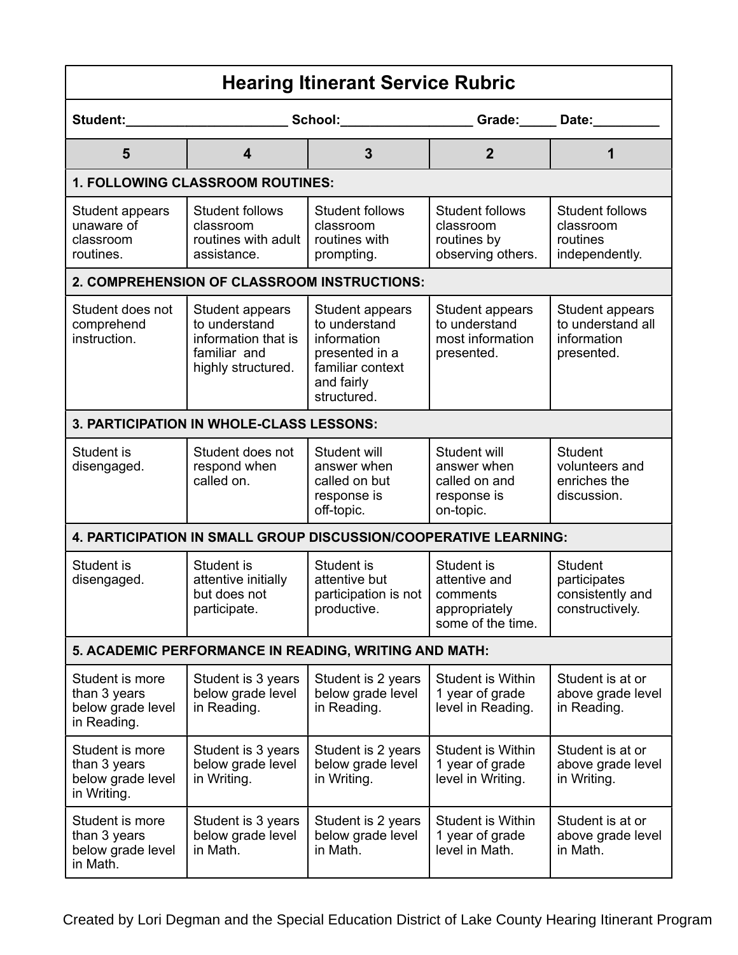| <b>Hearing Itinerant Service Rubric</b>                             |                                                                                               |                                                                                                                    |                                                                               |                                                                       |  |  |  |  |
|---------------------------------------------------------------------|-----------------------------------------------------------------------------------------------|--------------------------------------------------------------------------------------------------------------------|-------------------------------------------------------------------------------|-----------------------------------------------------------------------|--|--|--|--|
| Student:                                                            |                                                                                               |                                                                                                                    | School: Crade: Date:                                                          |                                                                       |  |  |  |  |
| 5                                                                   | 4                                                                                             | $\overline{3}$                                                                                                     | $\overline{2}$                                                                | 1                                                                     |  |  |  |  |
| 1. FOLLOWING CLASSROOM ROUTINES:                                    |                                                                                               |                                                                                                                    |                                                                               |                                                                       |  |  |  |  |
| Student appears<br>unaware of<br>classroom<br>routines.             | <b>Student follows</b><br>classroom<br>routines with adult<br>assistance.                     | <b>Student follows</b><br>classroom<br>routines with<br>prompting.                                                 | <b>Student follows</b><br>classroom<br>routines by<br>observing others.       | <b>Student follows</b><br>classroom<br>routines<br>independently.     |  |  |  |  |
|                                                                     | 2. COMPREHENSION OF CLASSROOM INSTRUCTIONS:                                                   |                                                                                                                    |                                                                               |                                                                       |  |  |  |  |
| Student does not<br>comprehend<br>instruction.                      | Student appears<br>to understand<br>information that is<br>familiar and<br>highly structured. | Student appears<br>to understand<br>information<br>presented in a<br>familiar context<br>and fairly<br>structured. | Student appears<br>to understand<br>most information<br>presented.            | Student appears<br>to understand all<br>information<br>presented.     |  |  |  |  |
|                                                                     | 3. PARTICIPATION IN WHOLE-CLASS LESSONS:                                                      |                                                                                                                    |                                                                               |                                                                       |  |  |  |  |
| Student is<br>disengaged.                                           | Student does not<br>respond when<br>called on.                                                | Student will<br>answer when<br>called on but<br>response is<br>off-topic.                                          | Student will<br>answer when<br>called on and<br>response is<br>on-topic.      | <b>Student</b><br>volunteers and<br>enriches the<br>discussion.       |  |  |  |  |
| 4. PARTICIPATION IN SMALL GROUP DISCUSSION/COOPERATIVE LEARNING:    |                                                                                               |                                                                                                                    |                                                                               |                                                                       |  |  |  |  |
| Student is<br>disengaged.                                           | Student is<br>attentive initially<br>but does not<br>participate.                             | Student is<br>attentive but<br>participation is not  <br>productive.                                               | Student is<br>attentive and<br>comments<br>appropriately<br>some of the time. | <b>Student</b><br>participates<br>consistently and<br>constructively. |  |  |  |  |
| 5. ACADEMIC PERFORMANCE IN READING, WRITING AND MATH:               |                                                                                               |                                                                                                                    |                                                                               |                                                                       |  |  |  |  |
| Student is more<br>than 3 years<br>below grade level<br>in Reading. | Student is 3 years<br>below grade level<br>in Reading.                                        | Student is 2 years<br>below grade level<br>in Reading.                                                             | <b>Student is Within</b><br>1 year of grade<br>level in Reading.              | Student is at or<br>above grade level<br>in Reading.                  |  |  |  |  |
| Student is more<br>than 3 years<br>below grade level<br>in Writing. | Student is 3 years<br>below grade level<br>in Writing.                                        | Student is 2 years<br>below grade level<br>in Writing.                                                             | <b>Student is Within</b><br>1 year of grade<br>level in Writing.              | Student is at or<br>above grade level<br>in Writing.                  |  |  |  |  |
| Student is more<br>than 3 years<br>below grade level<br>in Math.    | Student is 3 years<br>below grade level<br>in Math.                                           | Student is 2 years<br>below grade level<br>in Math.                                                                | Student is Within<br>1 year of grade<br>level in Math.                        | Student is at or<br>above grade level<br>in Math.                     |  |  |  |  |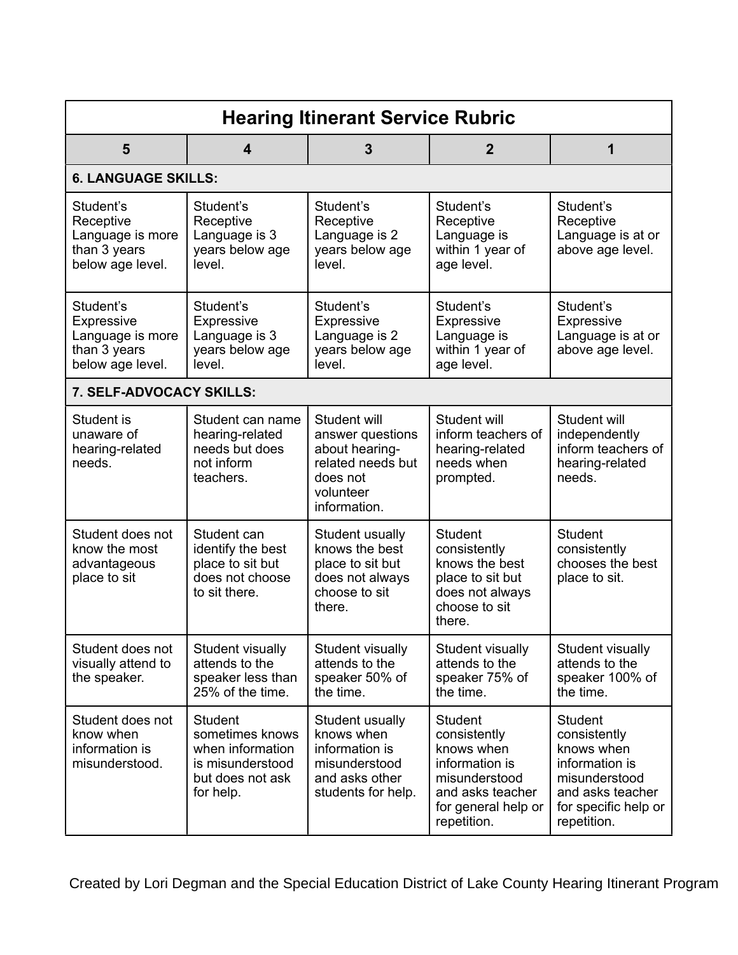| <b>Hearing Itinerant Service Rubric</b>                                                |                                                                                                            |                                                                                                                  |                                                                                                                                           |                                                                                                                                            |  |  |  |
|----------------------------------------------------------------------------------------|------------------------------------------------------------------------------------------------------------|------------------------------------------------------------------------------------------------------------------|-------------------------------------------------------------------------------------------------------------------------------------------|--------------------------------------------------------------------------------------------------------------------------------------------|--|--|--|
| 5                                                                                      | 4                                                                                                          | 3                                                                                                                | $\overline{2}$                                                                                                                            | 1                                                                                                                                          |  |  |  |
| <b>6. LANGUAGE SKILLS:</b>                                                             |                                                                                                            |                                                                                                                  |                                                                                                                                           |                                                                                                                                            |  |  |  |
| Student's<br>Receptive<br>Language is more<br>than 3 years<br>below age level.         | Student's<br>Receptive<br>Language is 3<br>years below age<br>level.                                       | Student's<br>Receptive<br>Language is 2<br>years below age<br>level.                                             | Student's<br>Receptive<br>Language is<br>within 1 year of<br>age level.                                                                   | Student's<br>Receptive<br>Language is at or<br>above age level.                                                                            |  |  |  |
| Student's<br><b>Expressive</b><br>Language is more<br>than 3 years<br>below age level. | Student's<br><b>Expressive</b><br>Language is 3<br>years below age<br>level.                               | Student's<br>Expressive<br>Language is 2<br>years below age<br>level.                                            | Student's<br><b>Expressive</b><br>Language is<br>within 1 year of<br>age level.                                                           | Student's<br><b>Expressive</b><br>Language is at or<br>above age level.                                                                    |  |  |  |
| 7. SELF-ADVOCACY SKILLS:                                                               |                                                                                                            |                                                                                                                  |                                                                                                                                           |                                                                                                                                            |  |  |  |
| Student is<br>unaware of<br>hearing-related<br>needs.                                  | Student can name<br>hearing-related<br>needs but does<br>not inform<br>teachers.                           | Student will<br>answer questions<br>about hearing-<br>related needs but<br>does not<br>volunteer<br>information. | Student will<br>inform teachers of<br>hearing-related<br>needs when<br>prompted.                                                          | Student will<br>independently<br>inform teachers of<br>hearing-related<br>needs.                                                           |  |  |  |
| Student does not<br>know the most<br>advantageous<br>place to sit                      | Student can<br>identify the best<br>place to sit but<br>does not choose<br>to sit there.                   | Student usually<br>knows the best<br>place to sit but<br>does not always<br>choose to sit<br>there.              | <b>Student</b><br>consistently<br>knows the best<br>place to sit but<br>does not always<br>choose to sit<br>there.                        | <b>Student</b><br>consistently<br>chooses the best<br>place to sit.                                                                        |  |  |  |
| Student does not<br>visually attend to<br>the speaker.                                 | Student visually<br>attends to the<br>speaker less than<br>25% of the time.                                | Student visually<br>attends to the<br>speaker 50% of<br>the time.                                                | Student visually<br>attends to the<br>speaker 75% of<br>the time.                                                                         | Student visually<br>attends to the<br>speaker 100% of<br>the time.                                                                         |  |  |  |
| Student does not<br>know when<br>information is<br>misunderstood.                      | <b>Student</b><br>sometimes knows<br>when information<br>is misunderstood<br>but does not ask<br>for help. | Student usually<br>knows when<br>information is<br>misunderstood<br>and asks other<br>students for help.         | <b>Student</b><br>consistently<br>knows when<br>information is<br>misunderstood<br>and asks teacher<br>for general help or<br>repetition. | <b>Student</b><br>consistently<br>knows when<br>information is<br>misunderstood<br>and asks teacher<br>for specific help or<br>repetition. |  |  |  |

Created by Lori Degman and the Special Education District of Lake County Hearing Itinerant Program